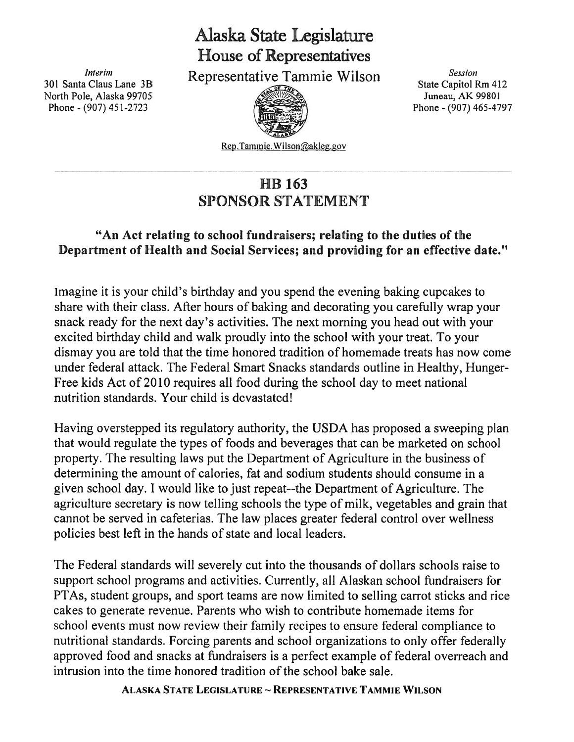## Alaska State Legislature House of Representatives

North Pole, Alaska 99705 **Juneau, AK 99801** Juneau, AK 99801 Phone - (907) 451-2723 **Phone - (907) 465-4797** 

Interim Interim Representative Tammie Wilson Session Session<br>301 Santa Claus Lane 3B Representative Tammie Wilson State Capitol Rm 412



Rep. Tammie. Wilson@akleg.gov

## HB 163 SPONSOR STATEMENT

## "An Act relating to school fundraisers; relating to the duties of the Department of Health and Social Services; and providing for an effective date."

Imagine it is your child's birthday and you spend the evening baking cupcakes to share with their class. After hours of baking and decorating you carefully wrap your snack ready for the next day's activities. The next morning you head out with your excited birthday child and walk proudly into the school with your treat. To your dismay you are told that the time honored tradition of homemade treats has now come under federal attack. The Federal Smart Snacks standards outline in Healthy, Hunger-Free kids Act of 2010 requires all food during the school day to meet national nutrition standards. Your child is devastated!

Having overstepped its regulatory authority, the USDA has proposed <sup>a</sup> sweeping plan that would regulate the types of foods and beverages that can be marketed on school property. The resulting laws pu<sup>t</sup> the Department of Agriculture in the business of determining the amount of calories, fat and sodium students should consume in <sup>a</sup> given school day. I would like to just repeat--the Department of Agriculture. The agriculture secretary is now telling schools the type of milk, vegetables and grain that cannot be served in cafeterias. The law places greater federal control over weliness policies best left in the hands of state and local leaders.

The Federal standards will severely cut into the thousands of dollars schools raise to suppor<sup>t</sup> school programs and activities. Currently, all Alaskan school fundraisers for PTAs, student groups, and spor<sup>t</sup> teams are now limited to selling carrot sticks and rice cakes to generate revenue. Parents who wish to contribute homemade items for school events must now review their family recipes to ensure federal compliance to nutritional standards. Forcing parents and school organizations to only offer federally approved food and snacks at fundraisers is <sup>a</sup> perfect example of federal overreach and intrusion into the time honored tradition of the school bake sale.

ALASKA STATE LEGISLATURE ~ REPRESENTATIVE TAMMIE WILSON